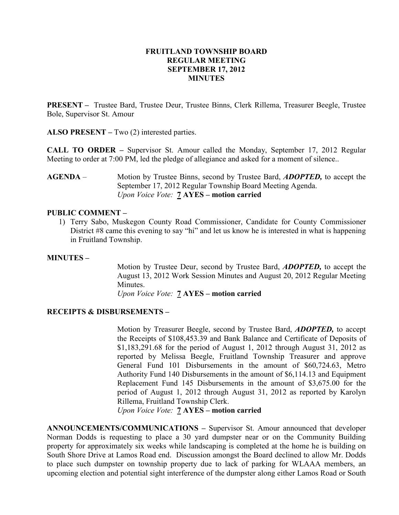#### FRUITLAND TOWNSHIP BOARD REGULAR MEETING SEPTEMBER 17, 2012 MINUTES

PRESENT – Trustee Bard, Trustee Deur, Trustee Binns, Clerk Rillema, Treasurer Beegle, Trustee Bole, Supervisor St. Amour

ALSO PRESENT – Two (2) interested parties.

CALL TO ORDER – Supervisor St. Amour called the Monday, September 17, 2012 Regular Meeting to order at 7:00 PM, led the pledge of allegiance and asked for a moment of silence..

AGENDA – Motion by Trustee Binns, second by Trustee Bard, *ADOPTED*, to accept the September 17, 2012 Regular Township Board Meeting Agenda. Upon Voice Vote: 7 AYES – motion carried

#### PUBLIC COMMENT –

1) Terry Sabo, Muskegon County Road Commissioner, Candidate for County Commissioner District #8 came this evening to say "hi" and let us know he is interested in what is happening in Fruitland Township.

#### MINUTES –

Motion by Trustee Deur, second by Trustee Bard, ADOPTED, to accept the August 13, 2012 Work Session Minutes and August 20, 2012 Regular Meeting Minutes.

Upon Voice Vote: 7 AYES – motion carried

#### RECEIPTS & DISBURSEMENTS –

Motion by Treasurer Beegle, second by Trustee Bard, **ADOPTED**, to accept the Receipts of \$108,453.39 and Bank Balance and Certificate of Deposits of \$1,183,291.68 for the period of August 1, 2012 through August 31, 2012 as reported by Melissa Beegle, Fruitland Township Treasurer and approve General Fund 101 Disbursements in the amount of \$60,724.63, Metro Authority Fund 140 Disbursements in the amount of \$6,114.13 and Equipment Replacement Fund 145 Disbursements in the amount of \$3,675.00 for the period of August 1, 2012 through August 31, 2012 as reported by Karolyn Rillema, Fruitland Township Clerk.

Upon Voice Vote: 7 AYES – motion carried

ANNOUNCEMENTS/COMMUNICATIONS – Supervisor St. Amour announced that developer Norman Dodds is requesting to place a 30 yard dumpster near or on the Community Building property for approximately six weeks while landscaping is completed at the home he is building on South Shore Drive at Lamos Road end. Discussion amongst the Board declined to allow Mr. Dodds to place such dumpster on township property due to lack of parking for WLAAA members, an upcoming election and potential sight interference of the dumpster along either Lamos Road or South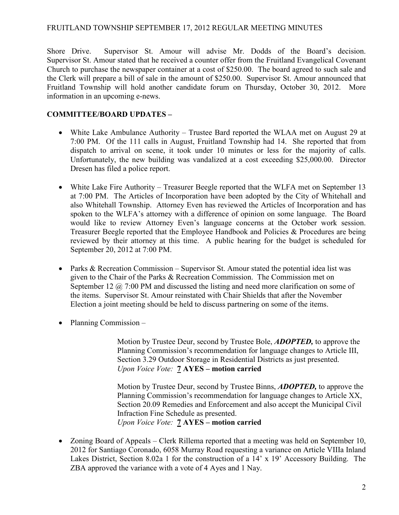#### FRUITLAND TOWNSHIP SEPTEMBER 17, 2012 REGULAR MEETING MINUTES

Shore Drive. Supervisor St. Amour will advise Mr. Dodds of the Board's decision. Supervisor St. Amour stated that he received a counter offer from the Fruitland Evangelical Covenant Church to purchase the newspaper container at a cost of \$250.00. The board agreed to such sale and the Clerk will prepare a bill of sale in the amount of \$250.00. Supervisor St. Amour announced that Fruitland Township will hold another candidate forum on Thursday, October 30, 2012. More information in an upcoming e-news.

## COMMITTEE/BOARD UPDATES –

- White Lake Ambulance Authority Trustee Bard reported the WLAA met on August 29 at 7:00 PM. Of the 111 calls in August, Fruitland Township had 14. She reported that from dispatch to arrival on scene, it took under 10 minutes or less for the majority of calls. Unfortunately, the new building was vandalized at a cost exceeding \$25,000.00. Director Dresen has filed a police report.
- White Lake Fire Authority Treasurer Beegle reported that the WLFA met on September 13 at 7:00 PM. The Articles of Incorporation have been adopted by the City of Whitehall and also Whitehall Township. Attorney Even has reviewed the Articles of Incorporation and has spoken to the WLFA's attorney with a difference of opinion on some language. The Board would like to review Attorney Even's language concerns at the October work session. Treasurer Beegle reported that the Employee Handbook and Policies & Procedures are being reviewed by their attorney at this time. A public hearing for the budget is scheduled for September 20, 2012 at 7:00 PM.
- Parks & Recreation Commission Supervisor St. Amour stated the potential idea list was given to the Chair of the Parks & Recreation Commission. The Commission met on September 12  $\omega$  7:00 PM and discussed the listing and need more clarification on some of the items. Supervisor St. Amour reinstated with Chair Shields that after the November Election a joint meeting should be held to discuss partnering on some of the items.
- Planning Commission –

Motion by Trustee Deur, second by Trustee Bole, **ADOPTED**, to approve the Planning Commission's recommendation for language changes to Article III, Section 3.29 Outdoor Storage in Residential Districts as just presented. Upon Voice Vote: 7 AYES – motion carried

Motion by Trustee Deur, second by Trustee Binns, ADOPTED, to approve the Planning Commission's recommendation for language changes to Article XX, Section 20.09 Remedies and Enforcement and also accept the Municipal Civil Infraction Fine Schedule as presented. Upon Voice Vote: 7 AYES – motion carried

• Zoning Board of Appeals – Clerk Rillema reported that a meeting was held on September 10, 2012 for Santiago Coronado, 6058 Murray Road requesting a variance on Article VIIIa Inland Lakes District, Section 8.02a 1 for the construction of a 14' x 19' Accessory Building. The ZBA approved the variance with a vote of 4 Ayes and 1 Nay.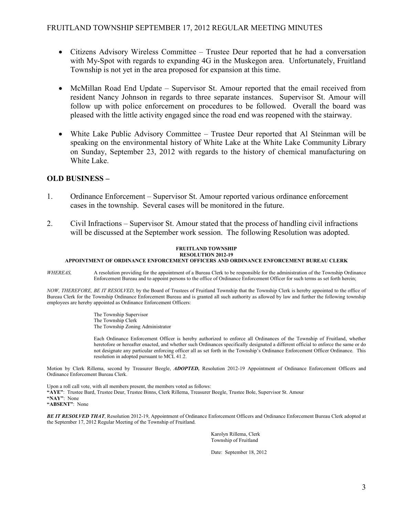- Citizens Advisory Wireless Committee Trustee Deur reported that he had a conversation with My-Spot with regards to expanding 4G in the Muskegon area. Unfortunately, Fruitland Township is not yet in the area proposed for expansion at this time.
- McMillan Road End Update Supervisor St. Amour reported that the email received from resident Nancy Johnson in regards to three separate instances. Supervisor St. Amour will follow up with police enforcement on procedures to be followed. Overall the board was pleased with the little activity engaged since the road end was reopened with the stairway.
- White Lake Public Advisory Committee Trustee Deur reported that Al Steinman will be speaking on the environmental history of White Lake at the White Lake Community Library on Sunday, September 23, 2012 with regards to the history of chemical manufacturing on White Lake.

#### OLD BUSINESS –

- 1. Ordinance Enforcement Supervisor St. Amour reported various ordinance enforcement cases in the township. Several cases will be monitored in the future.
- 2. Civil Infractions Supervisor St. Amour stated that the process of handling civil infractions will be discussed at the September work session. The following Resolution was adopted.

#### FRUITLAND TOWNSHIP RESOLUTION 2012-19

#### APPOINTMENT OF ORDINANCE ENFORCEMENT OFFICERS AND ORDINANCE ENFORCEMENT BUREAU CLERK

WHEREAS, A resolution providing for the appointment of a Bureau Clerk to be responsible for the administration of the Township Ordinance Enforcement Bureau and to appoint persons to the office of Ordinance Enforcement Officer for such terms as set forth herein;

NOW, THEREFORE, BE IT RESOLVED, by the Board of Trustees of Fruitland Township that the Township Clerk is hereby appointed to the office of Bureau Clerk for the Township Ordinance Enforcement Bureau and is granted all such authority as allowed by law and further the following township employees are hereby appointed as Ordinance Enforcement Officers:

> The Township Supervisor The Township Clerk The Township Zoning Administrator

Each Ordinance Enforcement Officer is hereby authorized to enforce all Ordinances of the Township of Fruitland, whether heretofore or hereafter enacted, and whether such Ordinances specifically designated a different official to enforce the same or do not designate any particular enforcing officer all as set forth in the Township's Ordinance Enforcement Officer Ordinance. This resolution in adopted pursuant to MCL 41.2.

Motion by Clerk Rillema, second by Treasurer Beegle, ADOPTED, Resolution 2012-19 Appointment of Ordinance Enforcement Officers and Ordinance Enforcement Bureau Clerk.

Upon a roll call vote, with all members present, the members voted as follows: "AYE": Trustee Bard, Trustee Deur, Trustee Binns, Clerk Rillema, Treasurer Beegle, Trustee Bole, Supervisor St. Amour "NAY": None "ABSENT": None

BE IT RESOLVED THAT, Resolution 2012-19, Appointment of Ordinance Enforcement Officers and Ordinance Enforcement Bureau Clerk adopted at the September 17, 2012 Regular Meeting of the Township of Fruitland.

> Karolyn Rillema, Clerk Township of Fruitland

Date: September 18, 2012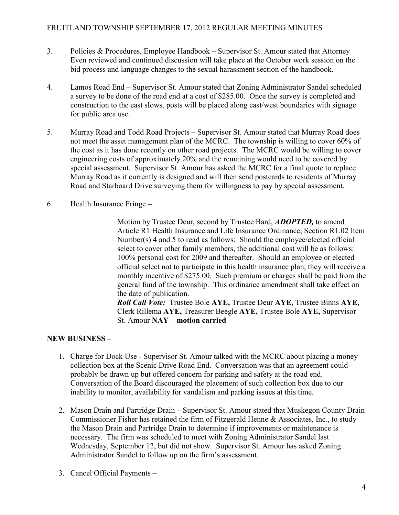## FRUITLAND TOWNSHIP SEPTEMBER 17, 2012 REGULAR MEETING MINUTES

- 3. Policies & Procedures, Employee Handbook Supervisor St. Amour stated that Attorney Even reviewed and continued discussion will take place at the October work session on the bid process and language changes to the sexual harassment section of the handbook.
- 4. Lamos Road End Supervisor St. Amour stated that Zoning Administrator Sandel scheduled a survey to be done of the road end at a cost of \$285.00. Once the survey is completed and construction to the east slows, posts will be placed along east/west boundaries with signage for public area use.
- 5. Murray Road and Todd Road Projects Supervisor St. Amour stated that Murray Road does not meet the asset management plan of the MCRC. The township is willing to cover 60% of the cost as it has done recently on other road projects. The MCRC would be willing to cover engineering costs of approximately 20% and the remaining would need to be covered by special assessment. Supervisor St. Amour has asked the MCRC for a final quote to replace Murray Road as it currently is designed and will then send postcards to residents of Murray Road and Starboard Drive surveying them for willingness to pay by special assessment.
- 6. Health Insurance Fringe –

Motion by Trustee Deur, second by Trustee Bard, **ADOPTED**, to amend Article R1 Health Insurance and Life Insurance Ordinance, Section R1.02 Item Number(s) 4 and 5 to read as follows: Should the employee/elected official select to cover other family members, the additional cost will be as follows: 100% personal cost for 2009 and thereafter. Should an employee or elected official select not to participate in this health insurance plan, they will receive a monthly incentive of \$275.00. Such premium or charges shall be paid from the general fund of the township. This ordinance amendment shall take effect on the date of publication.

Roll Call Vote: Trustee Bole AYE, Trustee Deur AYE, Trustee Binns AYE, Clerk Rillema AYE, Treasurer Beegle AYE, Trustee Bole AYE, Supervisor St. Amour NAY – motion carried

# NEW BUSINESS –

- 1. Charge for Dock Use Supervisor St. Amour talked with the MCRC about placing a money collection box at the Scenic Drive Road End. Conversation was that an agreement could probably be drawn up but offered concern for parking and safety at the road end. Conversation of the Board discouraged the placement of such collection box due to our inability to monitor, availability for vandalism and parking issues at this time.
- 2. Mason Drain and Partridge Drain Supervisor St. Amour stated that Muskegon County Drain Commissioner Fisher has retained the firm of Fitzgerald Henne & Associates, Inc., to study the Mason Drain and Partridge Drain to determine if improvements or maintenance is necessary. The firm was scheduled to meet with Zoning Administrator Sandel last Wednesday, September 12, but did not show. Supervisor St. Amour has asked Zoning Administrator Sandel to follow up on the firm's assessment.
- 3. Cancel Official Payments –